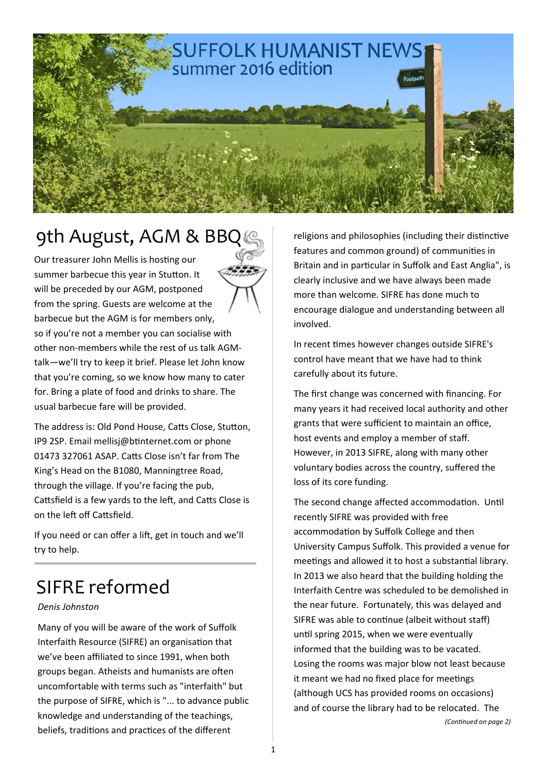

## 9th August, AGM & BBQ

Our treasurer John Mellis is hosting our summer barbecue this year in Stutton. It will be preceded by our AGM, postponed from the spring. Guests are welcome at the barbecue but the AGM is for members only, so if you're not a member you can socialise with other non‐members while the rest of us talk AGM‐ talk—we'll try to keep it brief. Please let John know that you're coming, so we know how many to cater for. Bring a plate of food and drinks to share. The usual barbecue fare will be provided.

The address is: Old Pond House, Catts Close, Stutton, IP9 2SP. Email mellisj@bƟnternet.com or phone 01473 327061 ASAP. Catts Close isn't far from The King's Head on the B1080, Manningtree Road, through the village. If you're facing the pub, Cattsfield is a few yards to the left, and Catts Close is on the left off Cattsfield.

If you need or can offer a lift, get in touch and we'll try to help.

## SIFRE reformed

#### *Denis Johnston*

Many of you will be aware of the work of Suffolk Interfaith Resource (SIFRE) an organisation that we've been affiliated to since 1991, when both groups began. Atheists and humanists are often uncomfortable with terms such as "interfaith" but the purpose of SIFRE, which is "... to advance public knowledge and understanding of the teachings, beliefs, traditions and practices of the different

religions and philosophies (including their distinctive features and common ground) of communities in Britain and in particular in Suffolk and East Anglia", is clearly inclusive and we have always been made more than welcome. SIFRE has done much to encourage dialogue and understanding between all involved.

In recent times however changes outside SIFRE's control have meant that we have had to think carefully about its future.

The first change was concerned with financing. For many years it had received local authority and other grants that were sufficient to maintain an office, host events and employ a member of staff. However, in 2013 SIFRE, along with many other voluntary bodies across the country, suffered the loss of its core funding.

The second change affected accommodation. Until recently SIFRE was provided with free accommodation by Suffolk College and then University Campus Suffolk. This provided a venue for meetings and allowed it to host a substantial library. In 2013 we also heard that the building holding the Interfaith Centre was scheduled to be demolished in the near future. Fortunately, this was delayed and SIFRE was able to continue (albeit without staff) until spring 2015, when we were eventually informed that the building was to be vacated. Losing the rooms was major blow not least because it meant we had no fixed place for meetings (although UCS has provided rooms on occasions) and of course the library had to be relocated. The *(ConƟnued on page 2)*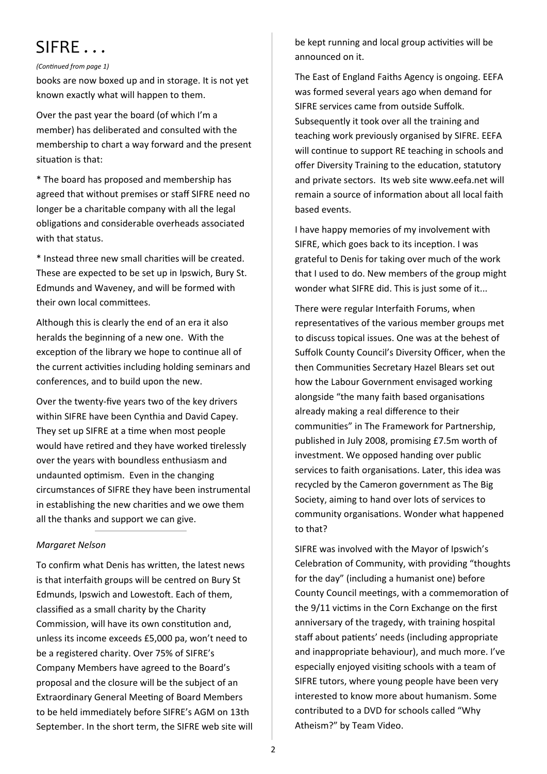### SIFRE . . .

#### *(ConƟnued from page 1)*

books are now boxed up and in storage. It is not yet known exactly what will happen to them.

Over the past year the board (of which I'm a member) has deliberated and consulted with the membership to chart a way forward and the present situation is that:

\* The board has proposed and membership has agreed that without premises or staff SIFRE need no longer be a charitable company with all the legal obligations and considerable overheads associated with that status.

\* Instead three new small chariƟes will be created. These are expected to be set up in Ipswich, Bury St. Edmunds and Waveney, and will be formed with their own local committees.

Although this is clearly the end of an era it also heralds the beginning of a new one. With the exception of the library we hope to continue all of the current activities including holding seminars and conferences, and to build upon the new.

Over the twenty‐five years two of the key drivers within SIFRE have been Cynthia and David Capey. They set up SIFRE at a time when most people would have retired and they have worked tirelessly over the years with boundless enthusiasm and undaunted optimism. Even in the changing circumstances of SIFRE they have been instrumental in establishing the new charities and we owe them all the thanks and support we can give.

#### *Margaret Nelson*

To confirm what Denis has written, the latest news is that interfaith groups will be centred on Bury St Edmunds, Ipswich and Lowestoft. Each of them, classified as a small charity by the Charity Commission, will have its own constitution and, unless its income exceeds £5,000 pa, won't need to be a registered charity. Over 75% of SIFRE's Company Members have agreed to the Board's proposal and the closure will be the subject of an Extraordinary General Meeting of Board Members to be held immediately before SIFRE's AGM on 13th September. In the short term, the SIFRE web site will be kept running and local group activities will be announced on it.

The East of England Faiths Agency is ongoing. EEFA was formed several years ago when demand for SIFRE services came from outside Suffolk. Subsequently it took over all the training and teaching work previously organised by SIFRE. EEFA will continue to support RE teaching in schools and offer Diversity Training to the education, statutory and private sectors. Its web site www.eefa.net will remain a source of information about all local faith based events.

I have happy memories of my involvement with SIFRE, which goes back to its inception. I was grateful to Denis for taking over much of the work that I used to do. New members of the group might wonder what SIFRE did. This is just some of it...

There were regular Interfaith Forums, when representatives of the various member groups met to discuss topical issues. One was at the behest of Suffolk County Council's Diversity Officer, when the then Communities Secretary Hazel Blears set out how the Labour Government envisaged working alongside "the many faith based organisations already making a real difference to their communities" in The Framework for Partnership, published in July 2008, promising £7.5m worth of investment. We opposed handing over public services to faith organisations. Later, this idea was recycled by the Cameron government as The Big Society, aiming to hand over lots of services to community organisations. Wonder what happened to that?

SIFRE was involved with the Mayor of Ipswich's Celebration of Community, with providing "thoughts for the day" (including a humanist one) before County Council meetings, with a commemoration of the 9/11 victims in the Corn Exchange on the first anniversary of the tragedy, with training hospital staff about patients' needs (including appropriate and inappropriate behaviour), and much more. I've especially enjoyed visiting schools with a team of SIFRE tutors, where young people have been very interested to know more about humanism. Some contributed to a DVD for schools called "Why Atheism?" by Team Video.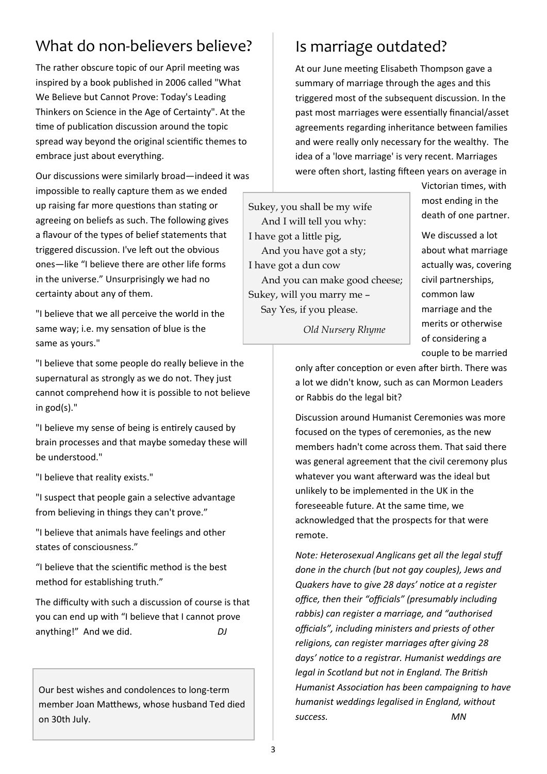### What do non-believers believe?

The rather obscure topic of our April meeting was inspired by a book published in 2006 called "What We Believe but Cannot Prove: Today's Leading Thinkers on Science in the Age of Certainty". At the time of publication discussion around the topic spread way beyond the original scientific themes to embrace just about everything.

Our discussions were similarly broad—indeed it was impossible to really capture them as we ended up raising far more questions than stating or agreeing on beliefs as such. The following gives a flavour of the types of belief statements that triggered discussion. I've left out the obvious ones—like "I believe there are other life forms in the universe." Unsurprisingly we had no certainty about any of them.

"I believe that we all perceive the world in the same way; i.e. my sensation of blue is the same as yours."

"I believe that some people do really believe in the supernatural as strongly as we do not. They just cannot comprehend how it is possible to not believe in god(s)."

"I believe my sense of being is entirely caused by brain processes and that maybe someday these will be understood."

"I believe that reality exists."

"I suspect that people gain a selective advantage from believing in things they can't prove."

"I believe that animals have feelings and other states of consciousness."

"I believe that the scienƟfic method is the best method for establishing truth."

The difficulty with such a discussion of course is that you can end up with "I believe that I cannot prove anything!" And we did. DJ

Our best wishes and condolences to long‐term member Joan Matthews, whose husband Ted died on 30th July.

### Is marriage outdated?

At our June meeting Elisabeth Thompson gave a summary of marriage through the ages and this triggered most of the subsequent discussion. In the past most marriages were essentially financial/asset agreements regarding inheritance between families and were really only necessary for the wealthy. The idea of a 'love marriage' is very recent. Marriages were often short, lasting fifteen years on average in

Sukey, you shall be my wife And I will tell you why: I have got a little pig, And you have got a sty; I have got a dun cow And you can make good cheese; Sukey, will you marry me – Say Yes, if you please.

Victorian Ɵmes, with most ending in the death of one partner.

We discussed a lot about what marriage actually was, covering civil partnerships, common law marriage and the merits or otherwise of considering a couple to be married

 *Old Nursery Rhyme* 

only after conception or even after birth. There was a lot we didn't know, such as can Mormon Leaders or Rabbis do the legal bit?

Discussion around Humanist Ceremonies was more focused on the types of ceremonies, as the new members hadn't come across them. That said there was general agreement that the civil ceremony plus whatever you want afterward was the ideal but unlikely to be implemented in the UK in the foreseeable future. At the same time, we acknowledged that the prospects for that were remote.

*Note: Heterosexual Anglicans get all the legal stuff done in the church (but not gay couples), Jews and Quakers have to give 28 days' noƟce at a register office, then their "officials" (presumably including rabbis) can register a marriage, and "authorised officials", including ministers and priests of other*  religions, can register marriages after giving 28 days' notice to a registrar. Humanist weddings are *legal in Scotland but not in England. The British Humanist AssociaƟon has been campaigning to have humanist weddings legalised in England, without success. MN*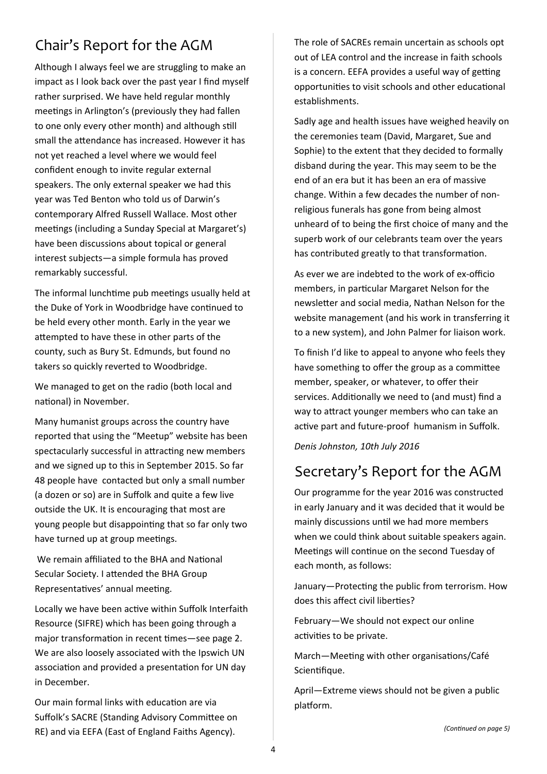### Chair's Report for the AGM

Although I always feel we are struggling to make an impact as I look back over the past year I find myself rather surprised. We have held regular monthly meetings in Arlington's (previously they had fallen to one only every other month) and although still small the attendance has increased. However it has not yet reached a level where we would feel confident enough to invite regular external speakers. The only external speaker we had this year was Ted Benton who told us of Darwin's contemporary Alfred Russell Wallace. Most other meetings (including a Sunday Special at Margaret's) have been discussions about topical or general interest subjects—a simple formula has proved remarkably successful.

The informal lunchtime pub meetings usually held at the Duke of York in Woodbridge have continued to be held every other month. Early in the year we attempted to have these in other parts of the county, such as Bury St. Edmunds, but found no takers so quickly reverted to Woodbridge.

We managed to get on the radio (both local and national) in November.

Many humanist groups across the country have reported that using the "Meetup" website has been spectacularly successful in attracting new members and we signed up to this in September 2015. So far 48 people have contacted but only a small number (a dozen or so) are in Suffolk and quite a few live outside the UK. It is encouraging that most are young people but disappointing that so far only two have turned up at group meetings.

We remain affiliated to the BHA and National Secular Society. I attended the BHA Group Representatives' annual meeting.

Locally we have been active within Suffolk Interfaith Resource (SIFRE) which has been going through a major transformation in recent times-see page 2. We are also loosely associated with the Ipswich UN association and provided a presentation for UN day in December.

Our main formal links with education are via Suffolk's SACRE (Standing Advisory Committee on RE) and via EEFA (East of England Faiths Agency).

The role of SACREs remain uncertain as schools opt out of LEA control and the increase in faith schools is a concern. EEFA provides a useful way of getting opportunities to visit schools and other educational establishments.

Sadly age and health issues have weighed heavily on the ceremonies team (David, Margaret, Sue and Sophie) to the extent that they decided to formally disband during the year. This may seem to be the end of an era but it has been an era of massive change. Within a few decades the number of non‐ religious funerals has gone from being almost unheard of to being the first choice of many and the superb work of our celebrants team over the years has contributed greatly to that transformation.

As ever we are indebted to the work of ex‐officio members, in particular Margaret Nelson for the newsletter and social media, Nathan Nelson for the website management (and his work in transferring it to a new system), and John Palmer for liaison work.

To finish I'd like to appeal to anyone who feels they have something to offer the group as a committee member, speaker, or whatever, to offer their services. Additionally we need to (and must) find a way to attract younger members who can take an active part and future-proof humanism in Suffolk.

*Denis Johnston, 10th July 2016* 

### Secretary's Report for the AGM

Our programme for the year 2016 was constructed in early January and it was decided that it would be mainly discussions until we had more members when we could think about suitable speakers again. Meetings will continue on the second Tuesday of each month, as follows:

January-Protecting the public from terrorism. How does this affect civil liberties?

February—We should not expect our online activities to be private.

March-Meeting with other organisations/Café Scientifique.

April—Extreme views should not be given a public platform.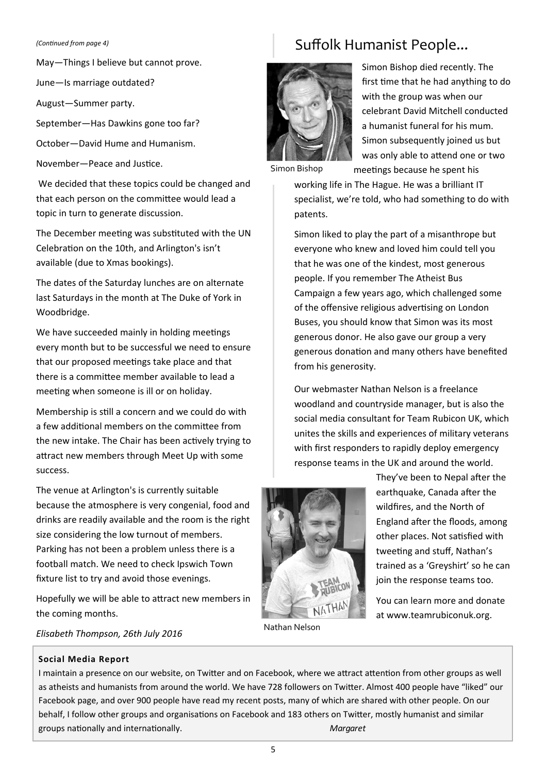#### *(ConƟnued from page 4)*

May—Things I believe but cannot prove.

June—Is marriage outdated?

August—Summer party.

September—Has Dawkins gone too far?

October—David Hume and Humanism.

November-Peace and Justice.

 We decided that these topics could be changed and that each person on the committee would lead a topic in turn to generate discussion.

The December meeting was substituted with the UN Celebration on the 10th, and Arlington's isn't available (due to Xmas bookings).

The dates of the Saturday lunches are on alternate last Saturdays in the month at The Duke of York in Woodbridge.

We have succeeded mainly in holding meetings every month but to be successful we need to ensure that our proposed meetings take place and that there is a committee member available to lead a meeting when someone is ill or on holiday.

Membership is still a concern and we could do with a few additional members on the committee from the new intake. The Chair has been actively trying to attract new members through Meet Up with some success.

The venue at Arlington's is currently suitable because the atmosphere is very congenial, food and drinks are readily available and the room is the right size considering the low turnout of members. Parking has not been a problem unless there is a football match. We need to check Ipswich Town fixture list to try and avoid those evenings.

Hopefully we will be able to attract new members in the coming months.

### Suffolk Humanist People...



Simon Bishop died recently. The first time that he had anything to do with the group was when our celebrant David Mitchell conducted a humanist funeral for his mum. Simon subsequently joined us but was only able to attend one or two meetings because he spent his

Simon Bishop

working life in The Hague. He was a brilliant IT specialist, we're told, who had something to do with patents.

Simon liked to play the part of a misanthrope but everyone who knew and loved him could tell you that he was one of the kindest, most generous people. If you remember The Atheist Bus Campaign a few years ago, which challenged some of the offensive religious advertising on London Buses, you should know that Simon was its most generous donor. He also gave our group a very generous donation and many others have benefited from his generosity.

Our webmaster Nathan Nelson is a freelance woodland and countryside manager, but is also the social media consultant for Team Rubicon UK, which unites the skills and experiences of military veterans with first responders to rapidly deploy emergency response teams in the UK and around the world.



Nathan Nelson

They've been to Nepal after the earthquake, Canada after the wildfires, and the North of England after the floods, among other places. Not satisfied with tweeting and stuff, Nathan's trained as a 'Greyshirt' so he can join the response teams too.

You can learn more and donate at www.teamrubiconuk.org.

*Elisabeth Thompson, 26th July 2016* 

#### **Social Media Report**

I maintain a presence on our website, on Twitter and on Facebook, where we attract attention from other groups as well as atheists and humanists from around the world. We have 728 followers on Twitter. Almost 400 people have "liked" our Facebook page, and over 900 people have read my recent posts, many of which are shared with other people. On our behalf, I follow other groups and organisations on Facebook and 183 others on Twitter, mostly humanist and similar groups nationally and internationally. *Margaret* Margaret